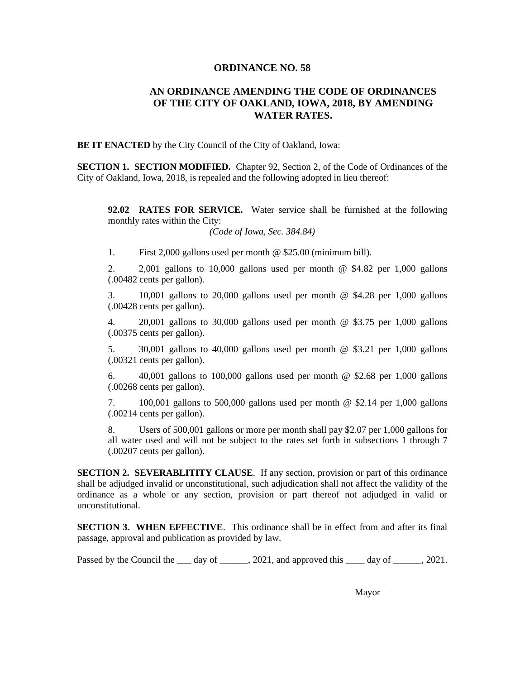## **ORDINANCE NO. 58**

## **AN ORDINANCE AMENDING THE CODE OF ORDINANCES OF THE CITY OF OAKLAND, IOWA, 2018, BY AMENDING WATER RATES.**

**BE IT ENACTED** by the City Council of the City of Oakland, Iowa:

**SECTION 1. SECTION MODIFIED.** Chapter 92, Section 2, of the Code of Ordinances of the City of Oakland, Iowa, 2018, is repealed and the following adopted in lieu thereof:

**92.02 RATES FOR SERVICE.** Water service shall be furnished at the following monthly rates within the City:

*(Code of Iowa, Sec. 384.84)*

1. First 2,000 gallons used per month @ \$25.00 (minimum bill).

2. 2,001 gallons to 10,000 gallons used per month @ \$4.82 per 1,000 gallons (.00482 cents per gallon).

3. 10,001 gallons to 20,000 gallons used per month @ \$4.28 per 1,000 gallons (.00428 cents per gallon).

4. 20,001 gallons to 30,000 gallons used per month @ \$3.75 per 1,000 gallons (.00375 cents per gallon).

5. 30,001 gallons to 40,000 gallons used per month @ \$3.21 per 1,000 gallons (.00321 cents per gallon).

6.  $40,001$  gallons to 100,000 gallons used per month @ \$2.68 per 1,000 gallons (.00268 cents per gallon).

7. 100,001 gallons to 500,000 gallons used per month @ \$2.14 per 1,000 gallons (.00214 cents per gallon).

8. Users of 500,001 gallons or more per month shall pay \$2.07 per 1,000 gallons for all water used and will not be subject to the rates set forth in subsections 1 through 7 (.00207 cents per gallon).

**SECTION 2. SEVERABLITITY CLAUSE.** If any section, provision or part of this ordinance shall be adjudged invalid or unconstitutional, such adjudication shall not affect the validity of the ordinance as a whole or any section, provision or part thereof not adjudged in valid or unconstitutional.

**SECTION 3. WHEN EFFECTIVE**. This ordinance shall be in effect from and after its final passage, approval and publication as provided by law.

Passed by the Council the  $\qquad$  day of  $\qquad \qquad$ , 2021, and approved this  $\qquad$  day of  $\qquad \qquad$ , 2021.

Mayor